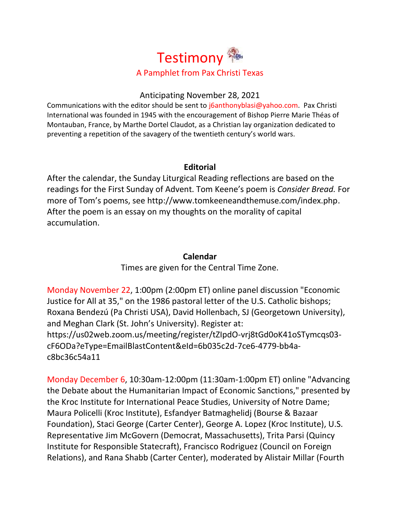

#### Anticipating November 28, 2021

Communications with the editor should be sent to [j6anthonyblasi@yahoo.com.](mailto:j6anthonyblasi@yahoo.com) Pax Christi International was founded in 1945 with the encouragement of Bishop Pierre Marie Théas of Montauban, France, by Marthe Dortel Claudot, as a Christian lay organization dedicated to preventing a repetition of the savagery of the twentieth century's world wars.

## **Editorial**

After the calendar, the Sunday Liturgical Reading reflections are based on the readings for the First Sunday of Advent. Tom Keene's poem is *Consider Bread.* For more of Tom's poems, see [http://www.tomkeeneandthemuse.com/index.php.](http://www.tomkeeneandthemuse.com/index.php) After the poem is an essay on my thoughts on the morality of capital accumulation.

## **Calendar**

Times are given for the Central Time Zone.

Monday November 22, 1:00pm (2:00pm ET) online panel discussion "Economic Justice for All at 35," on the 1986 pastoral letter of the U.S. Catholic bishops; Roxana Bendezú (Pa Christi USA), David Hollenbach, SJ (Georgetown University), and Meghan Clark (St. John's University). Register at: [https://us02web.zoom.us/meeting/register/tZIpdO-vrj8tGd0oK41oSTymcqs03](https://us02web.zoom.us/meeting/register/tZIpdO-vrj8tGd0oK41oSTymcqs03-cF6ODa?eType=EmailBlastContent&eId=6b035c2d-7ce6-4779-bb4a-c8bc36c54a11) [cF6ODa?eType=EmailBlastContent&eId=6b035c2d-7ce6-4779-bb4a](https://us02web.zoom.us/meeting/register/tZIpdO-vrj8tGd0oK41oSTymcqs03-cF6ODa?eType=EmailBlastContent&eId=6b035c2d-7ce6-4779-bb4a-c8bc36c54a11)[c8bc36c54a11](https://us02web.zoom.us/meeting/register/tZIpdO-vrj8tGd0oK41oSTymcqs03-cF6ODa?eType=EmailBlastContent&eId=6b035c2d-7ce6-4779-bb4a-c8bc36c54a11)

Monday December 6, 10:30am-12:00pm (11:30am-1:00pm ET) online "Advancing the Debate about the Humanitarian Impact of Economic Sanctions," presented by the Kroc Institute for International Peace Studies, University of Notre Dame; Maura Policelli (Kroc Institute), Esfandyer Batmaghelidj (Bourse & Bazaar Foundation), Staci George (Carter Center), George A. Lopez (Kroc Institute), U.S. Representative Jim McGovern (Democrat, Massachusetts), Trita Parsi (Quincy Institute for Responsible Statecraft), Francisco Rodriguez (Council on Foreign Relations), and Rana Shabb (Carter Center), moderated by Alistair Millar (Fourth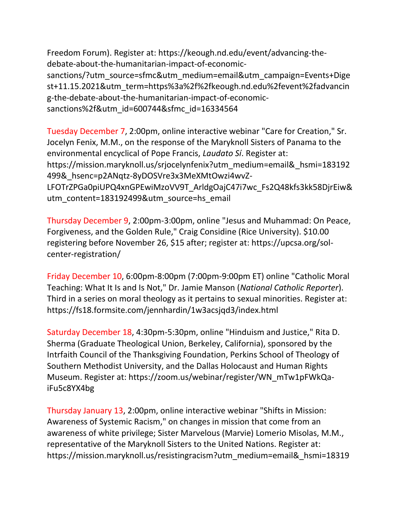Freedom Forum). Register at: [https://keough.nd.edu/event/advancing-the](https://keough.nd.edu/event/advancing-the-debate-about-the-humanitarian-impact-of-economic-sanctions/?utm_source=sfmc&utm_medium=email&utm_campaign=Events+Digest+11.15.2021&utm_term=https%3a%2f%2fkeough.nd.edu%2fevent%2fadvancing-the-debate-about-the-humanitarian-impact-of-economic-sanctions%2f&utm_id=600744&sfmc_id=16334564)[debate-about-the-humanitarian-impact-of-economic](https://keough.nd.edu/event/advancing-the-debate-about-the-humanitarian-impact-of-economic-sanctions/?utm_source=sfmc&utm_medium=email&utm_campaign=Events+Digest+11.15.2021&utm_term=https%3a%2f%2fkeough.nd.edu%2fevent%2fadvancing-the-debate-about-the-humanitarian-impact-of-economic-sanctions%2f&utm_id=600744&sfmc_id=16334564)[sanctions/?utm\\_source=sfmc&utm\\_medium=email&utm\\_campaign=Events+Dige](https://keough.nd.edu/event/advancing-the-debate-about-the-humanitarian-impact-of-economic-sanctions/?utm_source=sfmc&utm_medium=email&utm_campaign=Events+Digest+11.15.2021&utm_term=https%3a%2f%2fkeough.nd.edu%2fevent%2fadvancing-the-debate-about-the-humanitarian-impact-of-economic-sanctions%2f&utm_id=600744&sfmc_id=16334564) [st+11.15.2021&utm\\_term=https%3a%2f%2fkeough.nd.edu%2fevent%2fadvancin](https://keough.nd.edu/event/advancing-the-debate-about-the-humanitarian-impact-of-economic-sanctions/?utm_source=sfmc&utm_medium=email&utm_campaign=Events+Digest+11.15.2021&utm_term=https%3a%2f%2fkeough.nd.edu%2fevent%2fadvancing-the-debate-about-the-humanitarian-impact-of-economic-sanctions%2f&utm_id=600744&sfmc_id=16334564) [g-the-debate-about-the-humanitarian-impact-of-economic](https://keough.nd.edu/event/advancing-the-debate-about-the-humanitarian-impact-of-economic-sanctions/?utm_source=sfmc&utm_medium=email&utm_campaign=Events+Digest+11.15.2021&utm_term=https%3a%2f%2fkeough.nd.edu%2fevent%2fadvancing-the-debate-about-the-humanitarian-impact-of-economic-sanctions%2f&utm_id=600744&sfmc_id=16334564)[sanctions%2f&utm\\_id=600744&sfmc\\_id=16334564](https://keough.nd.edu/event/advancing-the-debate-about-the-humanitarian-impact-of-economic-sanctions/?utm_source=sfmc&utm_medium=email&utm_campaign=Events+Digest+11.15.2021&utm_term=https%3a%2f%2fkeough.nd.edu%2fevent%2fadvancing-the-debate-about-the-humanitarian-impact-of-economic-sanctions%2f&utm_id=600744&sfmc_id=16334564)

Tuesday December 7, 2:00pm, online interactive webinar "Care for Creation," Sr. Jocelyn Fenix, M.M., on the response of the Maryknoll Sisters of Panama to the environmental encyclical of Pope Francis, *Laudato Sí*. Register at: [https://mission.maryknoll.us/srjocelynfenix?utm\\_medium=email&\\_hsmi=183192](https://mission.maryknoll.us/srjocelynfenix?utm_medium=email&_hsmi=183192499&_hsenc=p2ANqtz-8yDOSVre3x3MeXMtOwzi4wvZ-LFOTrZPGa0piUPQ4xnGPEwiMzoVV9T_ArldgOajC47i7wc_Fs2Q48kfs3kk58DjrEiw&utm_content=183192499&utm_source=hs_email) [499&\\_hsenc=p2ANqtz-8yDOSVre3x3MeXMtOwzi4wvZ-](https://mission.maryknoll.us/srjocelynfenix?utm_medium=email&_hsmi=183192499&_hsenc=p2ANqtz-8yDOSVre3x3MeXMtOwzi4wvZ-LFOTrZPGa0piUPQ4xnGPEwiMzoVV9T_ArldgOajC47i7wc_Fs2Q48kfs3kk58DjrEiw&utm_content=183192499&utm_source=hs_email)[LFOTrZPGa0piUPQ4xnGPEwiMzoVV9T\\_ArldgOajC47i7wc\\_Fs2Q48kfs3kk58DjrEiw&](https://mission.maryknoll.us/srjocelynfenix?utm_medium=email&_hsmi=183192499&_hsenc=p2ANqtz-8yDOSVre3x3MeXMtOwzi4wvZ-LFOTrZPGa0piUPQ4xnGPEwiMzoVV9T_ArldgOajC47i7wc_Fs2Q48kfs3kk58DjrEiw&utm_content=183192499&utm_source=hs_email) [utm\\_content=183192499&utm\\_source=hs\\_email](https://mission.maryknoll.us/srjocelynfenix?utm_medium=email&_hsmi=183192499&_hsenc=p2ANqtz-8yDOSVre3x3MeXMtOwzi4wvZ-LFOTrZPGa0piUPQ4xnGPEwiMzoVV9T_ArldgOajC47i7wc_Fs2Q48kfs3kk58DjrEiw&utm_content=183192499&utm_source=hs_email)

Thursday December 9, 2:00pm-3:00pm, online "Jesus and Muhammad: On Peace, Forgiveness, and the Golden Rule," Craig Considine (Rice University). \$10.00 registering before November 26, \$15 after; register at: [https://upcsa.org/sol](https://upcsa.org/sol-center-registration/)[center-registration/](https://upcsa.org/sol-center-registration/)

Friday December 10, 6:00pm-8:00pm (7:00pm-9:00pm ET) online "Catholic Moral Teaching: What It Is and Is Not," Dr. Jamie Manson (*National Catholic Reporter*). Third in a series on moral theology as it pertains to sexual minorities. Register at: <https://fs18.formsite.com/jennhardin/1w3acsjqd3/index.html>

Saturday December 18, 4:30pm-5:30pm, online "Hinduism and Justice," Rita D. Sherma (Graduate Theological Union, Berkeley, California), sponsored by the Intrfaith Council of the Thanksgiving Foundation, Perkins School of Theology of Southern Methodist University, and the Dallas Holocaust and Human Rights Museum. Register at: [https://zoom.us/webinar/register/WN\\_mTw1pFWkQa](https://zoom.us/webinar/register/WN_mTw1pFWkQa-iFu5c8YX4bg)[iFu5c8YX4bg](https://zoom.us/webinar/register/WN_mTw1pFWkQa-iFu5c8YX4bg)

Thursday January 13, 2:00pm, online interactive webinar "Shifts in Mission: Awareness of Systemic Racism," on changes in mission that come from an awareness of white privilege; Sister Marvelous (Marvie) Lomerio Misolas, M.M., representative of the Maryknoll Sisters to the United Nations. Register at: [https://mission.maryknoll.us/resistingracism?utm\\_medium=email&\\_hsmi=18319](https://mission.maryknoll.us/resistingracism?utm_medium=email&_hsmi=183192499&_hsenc=p2ANqtz-8lZXLdcHIlbDiZzTlghKt6X3mXLdh_83uKeD3myALQKq0B0VXmCcNkxRhsfB7PTgq5xZj24QwmZM8Fm6LWeeuDTdidpA&utm_content=183192499&utm_source=hs_email)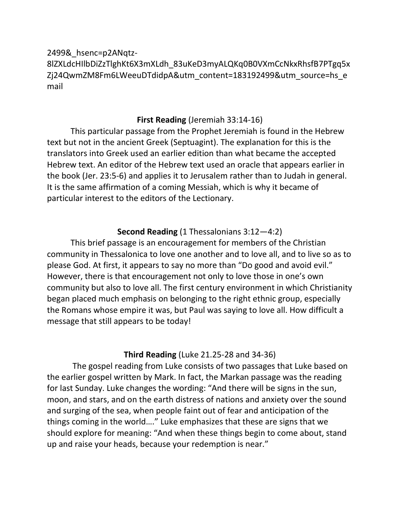[2499&\\_hsenc=p2ANqtz-](https://mission.maryknoll.us/resistingracism?utm_medium=email&_hsmi=183192499&_hsenc=p2ANqtz-8lZXLdcHIlbDiZzTlghKt6X3mXLdh_83uKeD3myALQKq0B0VXmCcNkxRhsfB7PTgq5xZj24QwmZM8Fm6LWeeuDTdidpA&utm_content=183192499&utm_source=hs_email)[8lZXLdcHIlbDiZzTlghKt6X3mXLdh\\_83uKeD3myALQKq0B0VXmCcNkxRhsfB7PTgq5x](https://mission.maryknoll.us/resistingracism?utm_medium=email&_hsmi=183192499&_hsenc=p2ANqtz-8lZXLdcHIlbDiZzTlghKt6X3mXLdh_83uKeD3myALQKq0B0VXmCcNkxRhsfB7PTgq5xZj24QwmZM8Fm6LWeeuDTdidpA&utm_content=183192499&utm_source=hs_email) [Zj24QwmZM8Fm6LWeeuDTdidpA&utm\\_content=183192499&utm\\_source=hs\\_e](https://mission.maryknoll.us/resistingracism?utm_medium=email&_hsmi=183192499&_hsenc=p2ANqtz-8lZXLdcHIlbDiZzTlghKt6X3mXLdh_83uKeD3myALQKq0B0VXmCcNkxRhsfB7PTgq5xZj24QwmZM8Fm6LWeeuDTdidpA&utm_content=183192499&utm_source=hs_email) [mail](https://mission.maryknoll.us/resistingracism?utm_medium=email&_hsmi=183192499&_hsenc=p2ANqtz-8lZXLdcHIlbDiZzTlghKt6X3mXLdh_83uKeD3myALQKq0B0VXmCcNkxRhsfB7PTgq5xZj24QwmZM8Fm6LWeeuDTdidpA&utm_content=183192499&utm_source=hs_email)

# **First Reading** (Jeremiah 33:14-16)

This particular passage from the Prophet Jeremiah is found in the Hebrew text but not in the ancient Greek (Septuagint). The explanation for this is the translators into Greek used an earlier edition than what became the accepted Hebrew text. An editor of the Hebrew text used an oracle that appears earlier in the book (Jer. 23:5-6) and applies it to Jerusalem rather than to Judah in general. It is the same affirmation of a coming Messiah, which is why it became of particular interest to the editors of the Lectionary.

# **Second Reading** (1 Thessalonians 3:12―4:2)

This brief passage is an encouragement for members of the Christian community in Thessalonica to love one another and to love all, and to live so as to please God. At first, it appears to say no more than "Do good and avoid evil." However, there is that encouragement not only to love those in one's own community but also to love all. The first century environment in which Christianity began placed much emphasis on belonging to the right ethnic group, especially the Romans whose empire it was, but Paul was saying to love all. How difficult a message that still appears to be today!

### **Third Reading** (Luke 21.25-28 and 34-36)

The gospel reading from Luke consists of two passages that Luke based on the earlier gospel written by Mark. In fact, the Markan passage was the reading for last Sunday. Luke changes the wording: "And there will be signs in the sun, moon, and stars, and on the earth distress of nations and anxiety over the sound and surging of the sea, when people faint out of fear and anticipation of the things coming in the world…." Luke emphasizes that these are signs that we should explore for meaning: "And when these things begin to come about, stand up and raise your heads, because your redemption is near."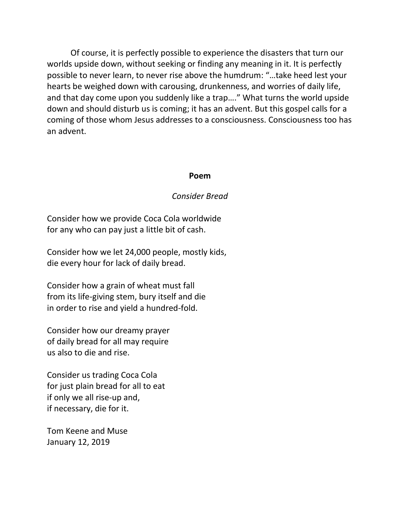Of course, it is perfectly possible to experience the disasters that turn our worlds upside down, without seeking or finding any meaning in it. It is perfectly possible to never learn, to never rise above the humdrum: "…take heed lest your hearts be weighed down with carousing, drunkenness, and worries of daily life, and that day come upon you suddenly like a trap…." What turns the world upside down and should disturb us is coming; it has an advent. But this gospel calls for a coming of those whom Jesus addresses to a consciousness. Consciousness too has an advent.

#### **Poem**

#### *Consider Bread*

Consider how we provide Coca Cola worldwide for any who can pay just a little bit of cash.

Consider how we let 24,000 people, mostly kids, die every hour for lack of daily bread.

Consider how a grain of wheat must fall from its life-giving stem, bury itself and die in order to rise and yield a hundred-fold.

Consider how our dreamy prayer of daily bread for all may require us also to die and rise.

Consider us trading Coca Cola for just plain bread for all to eat if only we all rise-up and, if necessary, die for it.

Tom Keene and Muse January 12, 2019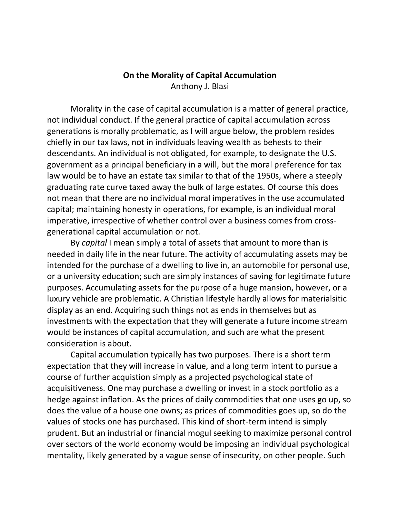### **On the Morality of Capital Accumulation** Anthony J. Blasi

Morality in the case of capital accumulation is a matter of general practice, not individual conduct. If the general practice of capital accumulation across generations is morally problematic, as I will argue below, the problem resides chiefly in our tax laws, not in individuals leaving wealth as behests to their descendants. An individual is not obligated, for example, to designate the U.S. government as a principal beneficiary in a will, but the moral preference for tax law would be to have an estate tax similar to that of the 1950s, where a steeply graduating rate curve taxed away the bulk of large estates. Of course this does not mean that there are no individual moral imperatives in the use accumulated capital; maintaining honesty in operations, for example, is an individual moral imperative, irrespective of whether control over a business comes from crossgenerational capital accumulation or not.

By *capital* I mean simply a total of assets that amount to more than is needed in daily life in the near future. The activity of accumulating assets may be intended for the purchase of a dwelling to live in, an automobile for personal use, or a university education; such are simply instances of saving for legitimate future purposes. Accumulating assets for the purpose of a huge mansion, however, or a luxury vehicle are problematic. A Christian lifestyle hardly allows for materialsitic display as an end. Acquiring such things not as ends in themselves but as investments with the expectation that they will generate a future income stream would be instances of capital accumulation, and such are what the present consideration is about.

Capital accumulation typically has two purposes. There is a short term expectation that they will increase in value, and a long term intent to pursue a course of further acquistion simply as a projected psychological state of acquisitiveness. One may purchase a dwelling or invest in a stock portfolio as a hedge against inflation. As the prices of daily commodities that one uses go up, so does the value of a house one owns; as prices of commodities goes up, so do the values of stocks one has purchased. This kind of short-term intend is simply prudent. But an industrial or financial mogul seeking to maximize personal control over sectors of the world economy would be imposing an individual psychological mentality, likely generated by a vague sense of insecurity, on other people. Such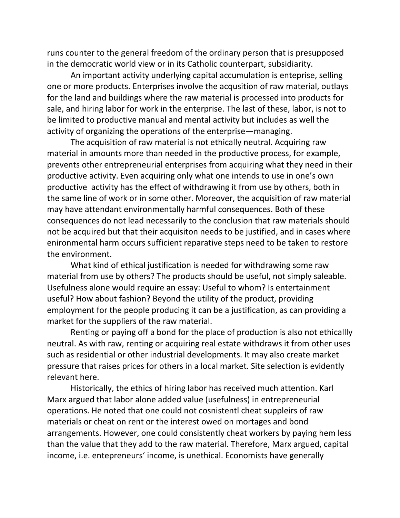runs counter to the general freedom of the ordinary person that is presupposed in the democratic world view or in its Catholic counterpart, subsidiarity.

An important activity underlying capital accumulation is enteprise, selling one or more products. Enterprises involve the acqusition of raw material, outlays for the land and buildings where the raw material is processed into products for sale, and hiring labor for work in the enterprise. The last of these, labor, is not to be limited to productive manual and mental activity but includes as well the activity of organizing the operations of the enterprise—managing.

The acquisition of raw material is not ethically neutral. Acquiring raw material in amounts more than needed in the productive process, for example, prevents other entrepreneurial enterprises from acquiring what they need in their productive activity. Even acquiring only what one intends to use in one's own productive activity has the effect of withdrawing it from use by others, both in the same line of work or in some other. Moreover, the acquisition of raw material may have attendant environmentally harmful consequences. Both of these consequences do not lead necessarily to the conclusion that raw materials should not be acquired but that their acquisiton needs to be justified, and in cases where enironmental harm occurs sufficient reparative steps need to be taken to restore the environment.

What kind of ethical justification is needed for withdrawing some raw material from use by others? The products should be useful, not simply saleable. Usefulness alone would require an essay: Useful to whom? Is entertainment useful? How about fashion? Beyond the utility of the product, providing employment for the people producing it can be a justification, as can providing a market for the suppliers of the raw material.

Renting or paying off a bond for the place of production is also not ethicallly neutral. As with raw, renting or acquiring real estate withdraws it from other uses such as residential or other industrial developments. It may also create market pressure that raises prices for others in a local market. Site selection is evidently relevant here.

Historically, the ethics of hiring labor has received much attention. Karl Marx argued that labor alone added value (usefulness) in entrepreneurial operations. He noted that one could not cosnistentl cheat suppleirs of raw materials or cheat on rent or the interest owed on mortages and bond arrangements. However, one could consistently cheat workers by paying hem less than the value that they add to the raw material. Therefore, Marx argued, capital income, i.e. entepreneurs' income, is unethical. Economists have generally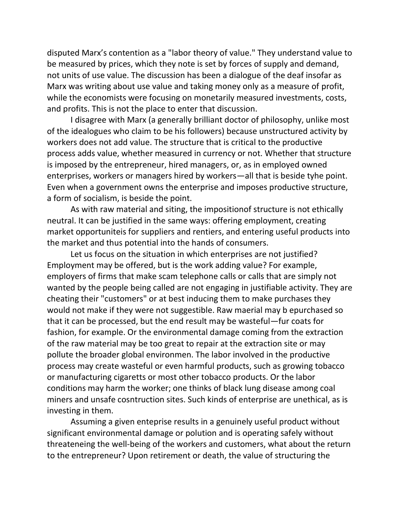disputed Marx's contention as a "labor theory of value." They understand value to be measured by prices, which they note is set by forces of supply and demand, not units of use value. The discussion has been a dialogue of the deaf insofar as Marx was writing about use value and taking money only as a measure of profit, while the economists were focusing on monetarily measured investments, costs, and profits. This is not the place to enter that discussion.

I disagree with Marx (a generally brilliant doctor of philosophy, unlike most of the idealogues who claim to be his followers) because unstructured activity by workers does not add value. The structure that is critical to the productive process adds value, whether measured in currency or not. Whether that structure is imposed by the entrepreneur, hired managers, or, as in employed owned enterprises, workers or managers hired by workers—all that is beside tyhe point. Even when a government owns the enterprise and imposes productive structure, a form of socialism, is beside the point.

As with raw material and siting, the impositionof structure is not ethically neutral. It can be justified in the same ways: offering employment, creating market opportuniteis for suppliers and rentiers, and entering useful products into the market and thus potential into the hands of consumers.

Let us focus on the situation in which enterprises are not justified? Employment may be offered, but is the work adding value? For example, employers of firms that make scam telephone calls or calls that are simply not wanted by the people being called are not engaging in justifiable activity. They are cheating their "customers" or at best inducing them to make purchases they would not make if they were not suggestible. Raw maerial may b epurchased so that it can be processed, but the end result may be wasteful—fur coats for fashion, for example. Or the environmental damage coming from the extraction of the raw material may be too great to repair at the extraction site or may pollute the broader global environmen. The labor involved in the productive process may create wasteful or even harmful products, such as growing tobacco or manufacturing cigaretts or most other tobacco products. Or the labor conditions may harm the worker; one thinks of black lung disease among coal miners and unsafe cosntruction sites. Such kinds of enterprise are unethical, as is investing in them.

Assuming a given enteprise results in a genuinely useful product without significant environmental damage or polution and is operating safely without threateneing the well-being of the workers and customers, what about the return to the entrepreneur? Upon retirement or death, the value of structuring the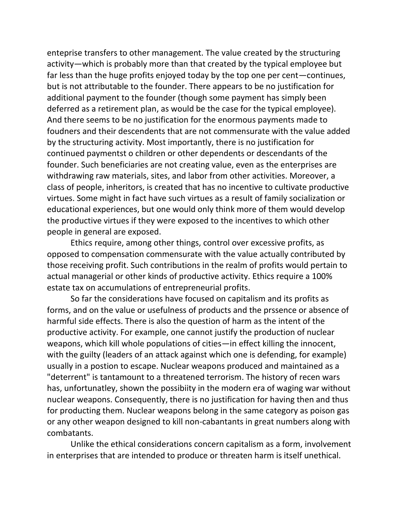enteprise transfers to other management. The value created by the structuring activity—which is probably more than that created by the typical employee but far less than the huge profits enjoyed today by the top one per cent—continues, but is not attributable to the founder. There appears to be no justification for additional payment to the founder (though some payment has simply been deferred as a retirement plan, as would be the case for the typical employee). And there seems to be no justification for the enormous payments made to foudners and their descendents that are not commensurate with the value added by the structuring activity. Most importantly, there is no justification for continued paymentst o children or other dependents or descendants of the founder. Such beneficiaries are not creating value, even as the enterprises are withdrawing raw materials, sites, and labor from other activities. Moreover, a class of people, inheritors, is created that has no incentive to cultivate productive virtues. Some might in fact have such virtues as a result of family socialization or educational experiences, but one would only think more of them would develop the productive virtues if they were exposed to the incentives to which other people in general are exposed.

Ethics require, among other things, control over excessive profits, as opposed to compensation commensurate with the value actually contributed by those receiving profit. Such contributions in the realm of profits would pertain to actual managerial or other kinds of productive activity. Ethics require a 100% estate tax on accumulations of entrepreneurial profits.

So far the considerations have focused on capitalism and its profits as forms, and on the value or usefulness of products and the prssence or absence of harmful side effects. There is also the question of harm as the intent of the productive activity. For example, one cannot justify the production of nuclear weapons, which kill whole populations of cities—in effect killing the innocent, with the guilty (leaders of an attack against which one is defending, for example) usually in a postion to escape. Nuclear weapons produced and maintained as a "deterrent" is tantamount to a threatened terrorism. The history of recen wars has, unfortunatley, shown the possibiity in the modern era of waging war without nuclear weapons. Consequently, there is no justification for having then and thus for producting them. Nuclear weapons belong in the same category as poison gas or any other weapon designed to kill non-cabantants in great numbers along with combatants.

Unlike the ethical considerations concern capitalism as a form, involvement in enterprises that are intended to produce or threaten harm is itself unethical.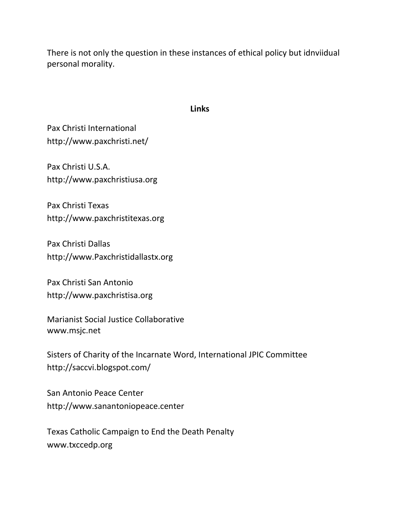There is not only the question in these instances of ethical policy but idnviidual personal morality.

#### **Links**

Pax Christi International <http://www.paxchristi.net/>

Pax Christi U.S.A. [http://www.paxchristiusa.org](http://www.paxchristiusa.org/)

Pax Christi Texas [http://www.paxchristitexas.org](http://www.paxchristitexas.org/)

Pax Christi Dallas [http://www.Paxchristidallastx.org](http://www.paxchristidallastx.org/)

Pax Christi San Antonio [http://www.paxchristisa.org](http://www.paxchristisa.org/)

Marianist Social Justice Collaborative [www.msjc.net](http://www.msjc.net/)

Sisters of Charity of the Incarnate Word, International JPIC Committee <http://saccvi.blogspot.com/>

San Antonio Peace Center [http://www.sanantoniopeace.center](http://www.sanantoniopeace.center/)

Texas Catholic Campaign to End the Death Penalty [www.txccedp.org](http://www.txccedp.org/)